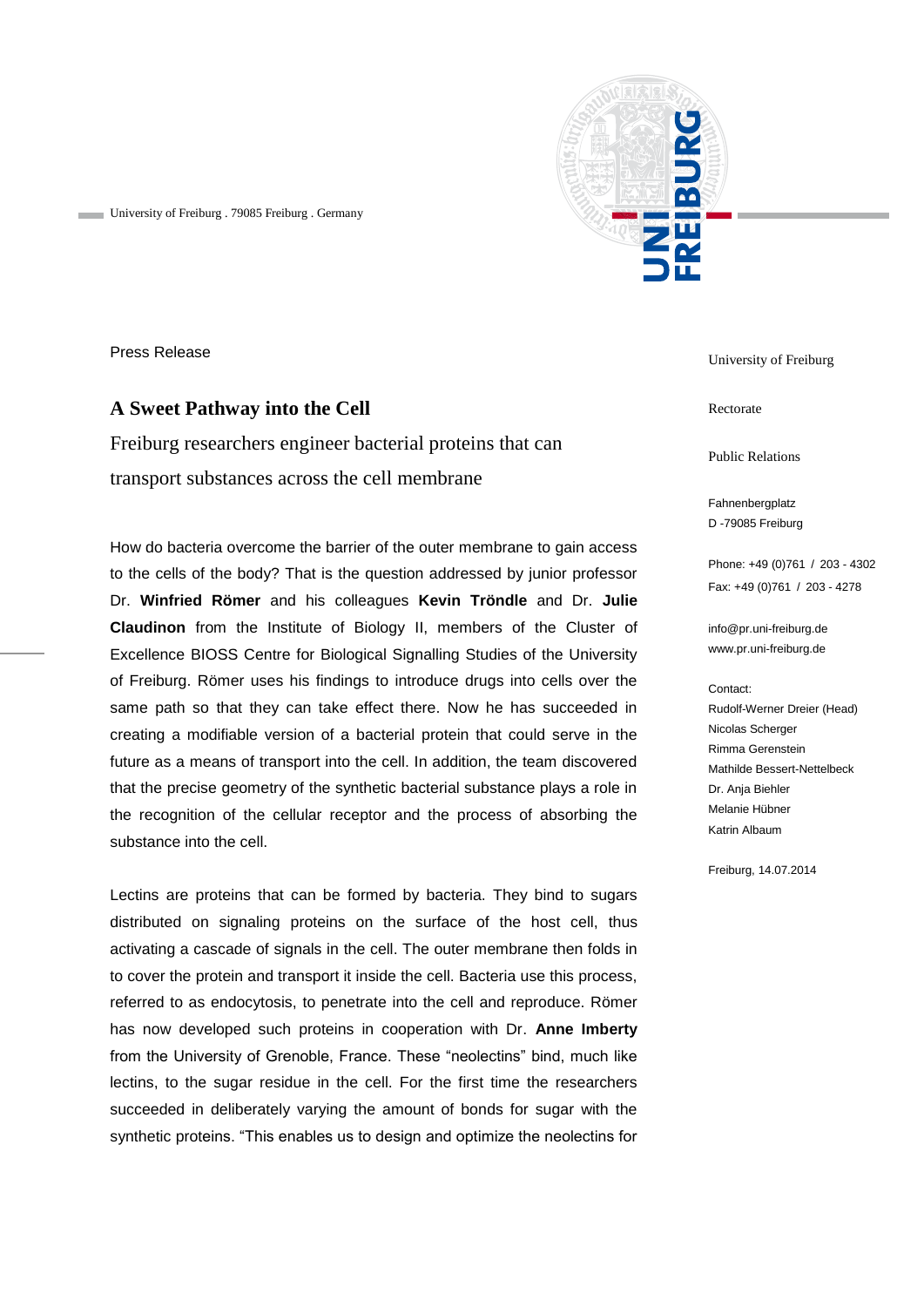

University of Freiburg . 79085 Freiburg . Germany

Press Release

# **A Sweet Pathway into the Cell**

Freiburg researchers engineer bacterial proteins that can transport substances across the cell membrane

How do bacteria overcome the barrier of the outer membrane to gain access to the cells of the body? That is the question addressed by junior professor Dr. **Winfried Römer** and his colleagues **Kevin Tröndle** and Dr. **Julie Claudinon** from the Institute of Biology II, members of the Cluster of Excellence BIOSS Centre for Biological Signalling Studies of the University of Freiburg. Römer uses his findings to introduce drugs into cells over the same path so that they can take effect there. Now he has succeeded in creating a modifiable version of a bacterial protein that could serve in the future as a means of transport into the cell. In addition, the team discovered that the precise geometry of the synthetic bacterial substance plays a role in the recognition of the cellular receptor and the process of absorbing the substance into the cell.

Lectins are proteins that can be formed by bacteria. They bind to sugars distributed on signaling proteins on the surface of the host cell, thus activating a cascade of signals in the cell. The outer membrane then folds in to cover the protein and transport it inside the cell. Bacteria use this process, referred to as endocytosis, to penetrate into the cell and reproduce. Römer has now developed such proteins in cooperation with Dr. **Anne Imberty** from the University of Grenoble, France. These "neolectins" bind, much like lectins, to the sugar residue in the cell. For the first time the researchers succeeded in deliberately varying the amount of bonds for sugar with the synthetic proteins. "This enables us to design and optimize the neolectins for

University of Freiburg

Rectorate

Public Relations

Fahnenbergplatz D -79085 Freiburg

Phone: +49 (0)761 / 203 - 4302 Fax: +49 (0)761 / 203 - 4278

[info@pr.uni-freiburg.de](mailto:info@pr.uni-freiburg.de) www.pr.uni-freiburg.de

#### Contact:

Rudolf-Werner Dreier (Head) Nicolas Scherger Rimma Gerenstein Mathilde Bessert-Nettelbeck Dr. Anja Biehler Melanie Hübner Katrin Albaum

Freiburg, 14.07.2014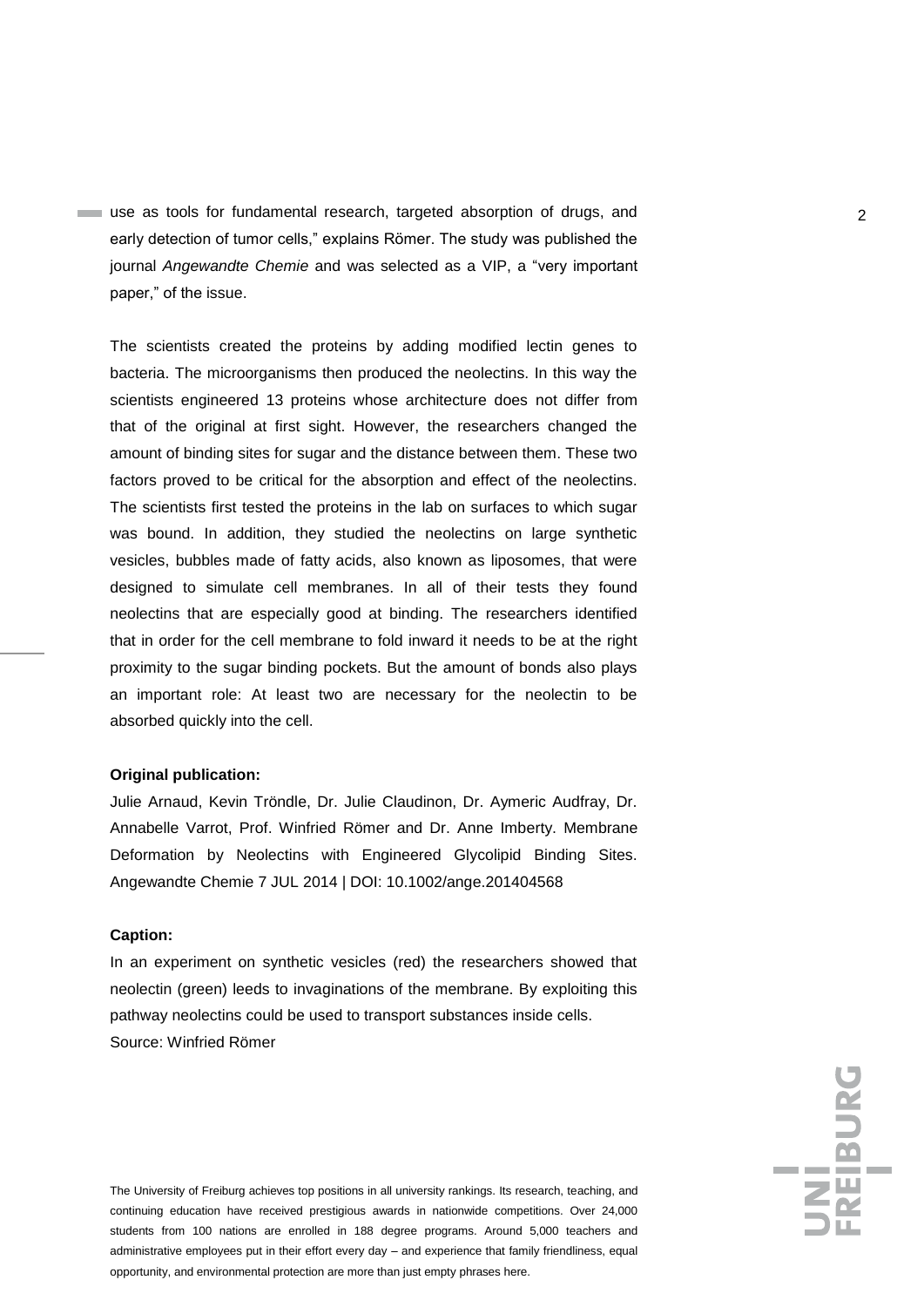use as tools for fundamental research, targeted absorption of drugs, and 2 early detection of tumor cells," explains Römer. The study was published the journal *Angewandte Chemie* and was selected as a VIP, a "very important paper," of the issue.

The scientists created the proteins by adding modified lectin genes to bacteria. The microorganisms then produced the neolectins. In this way the scientists engineered 13 proteins whose architecture does not differ from that of the original at first sight. However, the researchers changed the amount of binding sites for sugar and the distance between them. These two factors proved to be critical for the absorption and effect of the neolectins. The scientists first tested the proteins in the lab on surfaces to which sugar was bound. In addition, they studied the neolectins on large synthetic vesicles, bubbles made of fatty acids, also known as liposomes, that were designed to simulate cell membranes. In all of their tests they found neolectins that are especially good at binding. The researchers identified that in order for the cell membrane to fold inward it needs to be at the right proximity to the sugar binding pockets. But the amount of bonds also plays an important role: At least two are necessary for the neolectin to be absorbed quickly into the cell.

## **Original publication:**

Julie Arnaud, Kevin Tröndle, Dr. Julie Claudinon, Dr. Aymeric Audfray, Dr. Annabelle Varrot, Prof. Winfried Römer and Dr. Anne Imberty. Membrane Deformation by Neolectins with Engineered Glycolipid Binding Sites. Angewandte Chemie 7 JUL 2014 | DOI: 10.1002/ange.201404568

### **Caption:**

In an experiment on synthetic vesicles (red) the researchers showed that neolectin (green) leeds to invaginations of the membrane. By exploiting this pathway neolectins could be used to transport substances inside cells. Source: Winfried Römer

The University of Freiburg achieves top positions in all university rankings. Its research, teaching, and continuing education have received prestigious awards in nationwide competitions. Over 24,000 students from 100 nations are enrolled in 188 degree programs. Around 5,000 teachers and administrative employees put in their effort every day – and experience that family friendliness, equal opportunity, and environmental protection are more than just empty phrases here.